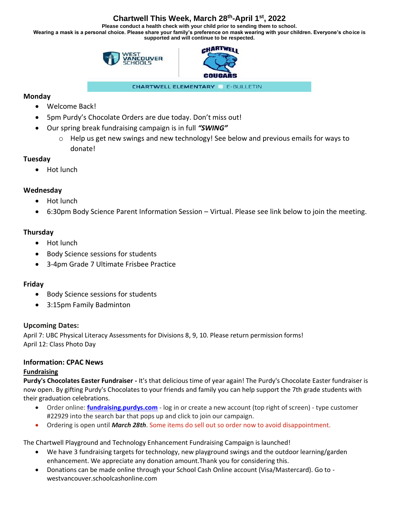# **Chartwell This Week, March 28th-April 1st, 2022**

**Please conduct a health check with your child prior to sending them to school. Wearing a mask is a personal choice. Please share your family's preference on mask wearing with your children. Everyone's choice is supported and will continue to be respected.**





**CHARTWELL ELEMENTARY** E-BULLETIN

### **Monday**

- Welcome Back!
- 5pm Purdy's Chocolate Orders are due today. Don't miss out!
- Our spring break fundraising campaign is in full *"SWING"*
	- $\circ$  Help us get new swings and new technology! See below and previous emails for ways to donate!

### **Tuesday**

• Hot lunch

# **Wednesday**

- Hot lunch
- 6:30pm Body Science Parent Information Session Virtual. Please see link below to join the meeting.

# **Thursday**

- Hot lunch
- Body Science sessions for students
- 3-4pm Grade 7 Ultimate Frisbee Practice

### **Friday**

- Body Science sessions for students
- 3:15pm Family Badminton

### **Upcoming Dates:**

April 7: UBC Physical Literacy Assessments for Divisions 8, 9, 10. Please return permission forms! April 12: Class Photo Day

### **Information: CPAC News**

#### **Fundraising**

**Purdy's Chocolates Easter Fundraiser -** It's that delicious time of year again! The Purdy's Chocolate Easter fundraiser is now open. By gifting Purdy's Chocolates to your friends and family you can help support the 7th grade students with their graduation celebrations.

- Order online: **[fundraising.purdys.com](https://can01.safelinks.protection.outlook.com/?url=https%3A%2F%2Ffundraising.purdys.com%2F&data=04%7C01%7CCHPac%40wvschools.ca%7C287f6d09efd549c2f6ad08d88492d23e%7Cd8013362a39e458b9457674cf091a797%7C0%7C0%7C637405113418168870%7CUnknown%7CTWFpbGZsb3d8eyJWIjoiMC4wLjAwMDAiLCJQIjoiV2luMzIiLCJBTiI6Ik1haWwiLCJXVCI6Mn0%3D%7C1000&sdata=pddYQp1iJCqMsGJhpGd%2BwIXr4PCz2I%2BTFssi42la8fs%3D&reserved=0)** log in or create a new account (top right of screen) type customer #22929 into the search bar that pops up and click to join our campaign.
- Ordering is open until *March 28th*. Some items do sell out so order now to avoid disappointment.

The Chartwell Playground and Technology Enhancement Fundraising Campaign is launched!

- We have 3 fundraising targets for technology, new playground swings and the outdoor learning/garden enhancement. We appreciate any donation amount.Thank you for considering this.
- Donations can be made online through your School Cash Online account (Visa/Mastercard). Go to westvancouver.schoolcashonline.com